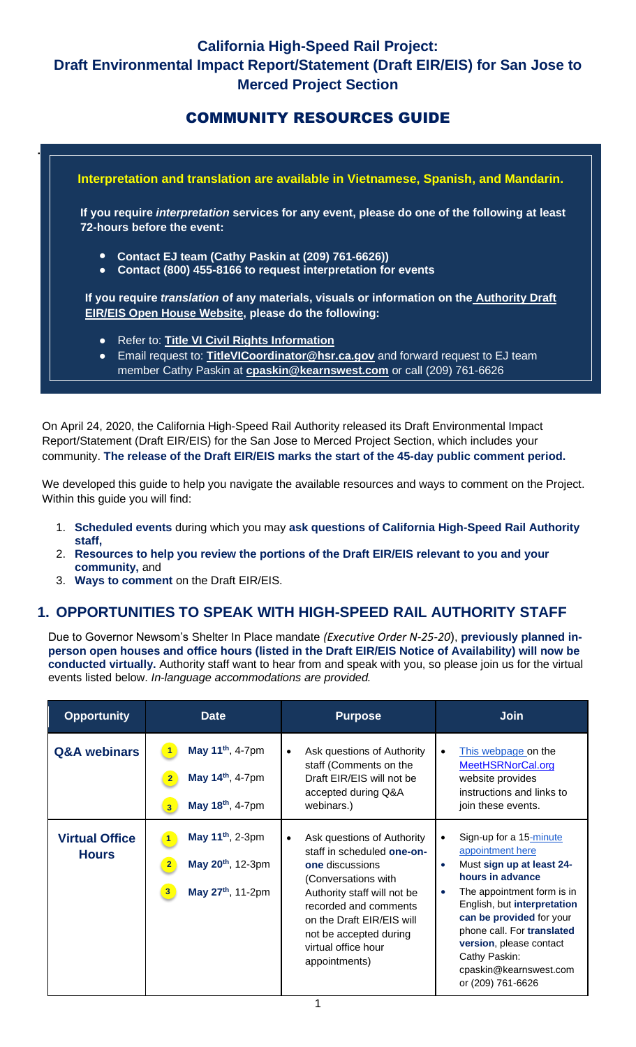## COMMUNITY RESOURCES GUIDE



On April 24, 2020, the California High-Speed Rail Authority released its Draft Environmental Impact Report/Statement (Draft EIR/EIS) for the San Jose to Merced Project Section, which includes your community. **The release of the Draft EIR/EIS marks the start of the 45-day public comment period.**

We developed this guide to help you navigate the available resources and ways to comment on the Project. Within this guide you will find:

- 1. **Scheduled events** during which you may **ask questions of California High-Speed Rail Authority staff,**
- 2. **Resources to help you review the portions of the Draft EIR/EIS relevant to you and your community,** and
- 3. **Ways to comment** on the Draft EIR/EIS.

### **1. OPPORTUNITIES TO SPEAK WITH HIGH-SPEED RAIL AUTHORITY STAFF**

Due to Governor Newsom's [Shelter In Place mandate](https://www.fmcsa.dot.gov/sites/fmcsa.dot.gov/files/2020-03/California%20Govenor%20Newsom%20Shelter%20in%20place%20Executive-Order-N-33-20.pdf) *(Executive Order N-25-20*), **previously planned inperson open houses and office hours (listed in the Draft EIR/EIS Notice of Availability) will now be conducted virtually.** Authority staff want to hear from and speak with you, so please join us for the virtual events listed below. *In-language accommodations are provided.*

| <b>Opportunity</b>                    | <b>Date</b>                                                                                                           | <b>Purpose</b>                                                                                                                                                                                                                                                                | <b>Join</b>                                                                                                                                                                                                                                                                                                         |
|---------------------------------------|-----------------------------------------------------------------------------------------------------------------------|-------------------------------------------------------------------------------------------------------------------------------------------------------------------------------------------------------------------------------------------------------------------------------|---------------------------------------------------------------------------------------------------------------------------------------------------------------------------------------------------------------------------------------------------------------------------------------------------------------------|
| <b>Q&amp;A</b> webinars               | May 11 <sup>th</sup> , 4-7pm<br>May 14 <sup>th</sup> , 4-7pm<br>May 18th, 4-7pm<br>3 <sup>1</sup>                     | Ask questions of Authority<br>$\bullet$<br>staff (Comments on the<br>Draft EIR/EIS will not be<br>accepted during Q&A<br>webinars.)                                                                                                                                           | This webpage on the<br>MeetHSRNorCal.org<br>website provides<br>instructions and links to<br>join these events.                                                                                                                                                                                                     |
| <b>Virtual Office</b><br><b>Hours</b> | May 11 <sup>th</sup> , 2-3pm<br>May 20 <sup>th</sup> , 12-3pm<br>$\overline{2}$<br>May 27 <sup>th</sup> , 11-2pm<br>3 | Ask questions of Authority<br>$\bullet$<br>staff in scheduled one-on-<br><b>one</b> discussions<br>(Conversations with<br>Authority staff will not be<br>recorded and comments<br>on the Draft EIR/EIS will<br>not be accepted during<br>virtual office hour<br>appointments) | Sign-up for a 15-minute<br>appointment here<br>Must sign up at least 24-<br>$\bullet$<br>hours in advance<br>The appointment form is in<br>$\bullet$<br>English, but interpretation<br>can be provided for your<br>phone call. For translated<br>version, please contact<br>Cathy Paskin:<br>cpaskin@kearnswest.com |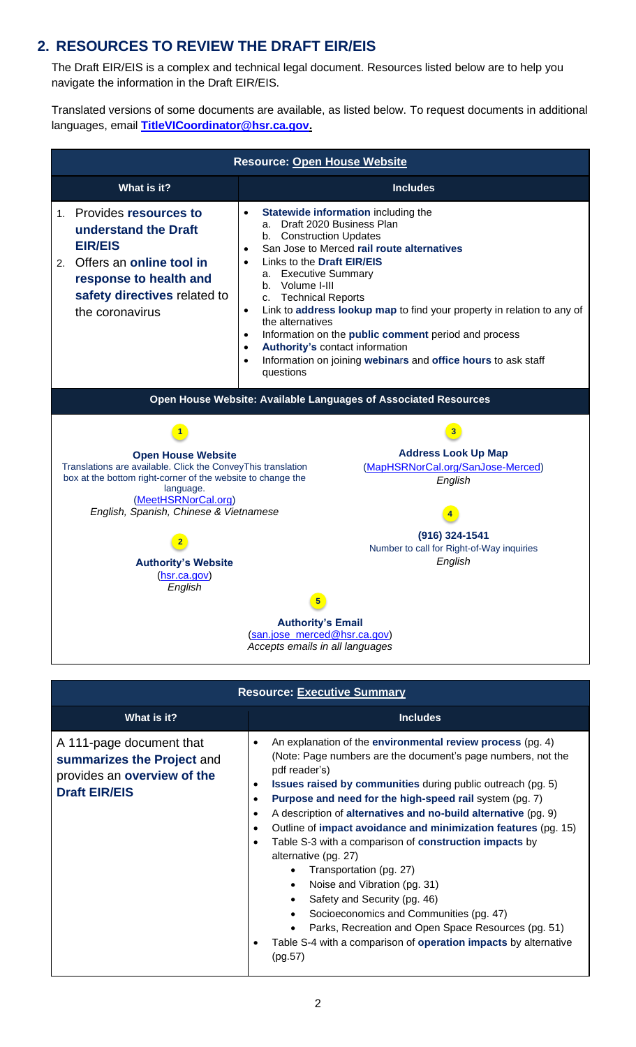### **2. RESOURCES TO REVIEW THE DRAFT EIR/EIS**

The Draft EIR/EIS is a complex and technical legal document. Resources listed below are to help you navigate the information in the Draft EIR/EIS.

Translated versions of some documents are available, as listed below. To request documents in additional languages, email **[TitleVICoordinator@hsr.ca.gov.](mailto:TitleVICoordinator@hsr.ca.gov)**

| <b>Resource: Open House Website</b>                                                                                                                                                                                                                                                                                  |                                                                                                                                                                                                                                                                                                                                                                                                                                                                                                                                                                                                                                    |  |  |  |
|----------------------------------------------------------------------------------------------------------------------------------------------------------------------------------------------------------------------------------------------------------------------------------------------------------------------|------------------------------------------------------------------------------------------------------------------------------------------------------------------------------------------------------------------------------------------------------------------------------------------------------------------------------------------------------------------------------------------------------------------------------------------------------------------------------------------------------------------------------------------------------------------------------------------------------------------------------------|--|--|--|
| What is it?                                                                                                                                                                                                                                                                                                          | <b>Includes</b>                                                                                                                                                                                                                                                                                                                                                                                                                                                                                                                                                                                                                    |  |  |  |
| 1. Provides resources to<br>understand the Draft<br><b>EIR/EIS</b><br>Offers an online tool in<br>2.<br>response to health and<br>safety directives related to<br>the coronavirus                                                                                                                                    | Statewide information including the<br>$\bullet$<br>Draft 2020 Business Plan<br>a.<br>b. Construction Updates<br>San Jose to Merced rail route alternatives<br>$\bullet$<br>Links to the Draft EIR/EIS<br>$\bullet$<br><b>Executive Summary</b><br>a.<br>b. Volume I-III<br>c. Technical Reports<br>Link to address lookup map to find your property in relation to any of<br>$\bullet$<br>the alternatives<br>Information on the public comment period and process<br>$\bullet$<br><b>Authority's contact information</b><br>$\bullet$<br>Information on joining webinars and office hours to ask staff<br>$\bullet$<br>questions |  |  |  |
| Open House Website: Available Languages of Associated Resources                                                                                                                                                                                                                                                      |                                                                                                                                                                                                                                                                                                                                                                                                                                                                                                                                                                                                                                    |  |  |  |
|                                                                                                                                                                                                                                                                                                                      |                                                                                                                                                                                                                                                                                                                                                                                                                                                                                                                                                                                                                                    |  |  |  |
| <b>Address Look Up Map</b><br><b>Open House Website</b><br>Translations are available. Click the ConveyThis translation<br>(MapHSRNorCal.org/SanJose-Merced)<br>box at the bottom right-corner of the website to change the<br>English<br>language.<br>(MeetHSRNorCal.org)<br>English, Spanish, Chinese & Vietnamese |                                                                                                                                                                                                                                                                                                                                                                                                                                                                                                                                                                                                                                    |  |  |  |
| <b>Authority's Website</b><br>(hsr.ca.gov)<br>English                                                                                                                                                                                                                                                                | (916) 324-1541<br>Number to call for Right-of-Way inquiries<br>English<br>5                                                                                                                                                                                                                                                                                                                                                                                                                                                                                                                                                        |  |  |  |
| <b>Authority's Email</b><br>(san.jose_merced@hsr.ca.gov)<br>Accepts emails in all languages                                                                                                                                                                                                                          |                                                                                                                                                                                                                                                                                                                                                                                                                                                                                                                                                                                                                                    |  |  |  |

| <b>Resource: Executive Summary</b>                                                                            |                                                                                                                                                                                                                                                                                                                                                                                                                                                                                                                                                                                                                                                                                                                                                                                                                                                                                                                                   |  |  |  |
|---------------------------------------------------------------------------------------------------------------|-----------------------------------------------------------------------------------------------------------------------------------------------------------------------------------------------------------------------------------------------------------------------------------------------------------------------------------------------------------------------------------------------------------------------------------------------------------------------------------------------------------------------------------------------------------------------------------------------------------------------------------------------------------------------------------------------------------------------------------------------------------------------------------------------------------------------------------------------------------------------------------------------------------------------------------|--|--|--|
| What is it?                                                                                                   | <b>Includes</b>                                                                                                                                                                                                                                                                                                                                                                                                                                                                                                                                                                                                                                                                                                                                                                                                                                                                                                                   |  |  |  |
| A 111-page document that<br>summarizes the Project and<br>provides an overview of the<br><b>Draft EIR/EIS</b> | An explanation of the environmental review process (pg. 4)<br>$\bullet$<br>(Note: Page numbers are the document's page numbers, not the<br>pdf reader's)<br><b>Issues raised by communities during public outreach (pg. 5)</b><br>$\bullet$<br>Purpose and need for the high-speed rail system (pg. 7)<br>$\bullet$<br>A description of alternatives and no-build alternative (pg. 9)<br>$\bullet$<br>Outline of impact avoidance and minimization features (pg. 15)<br>$\bullet$<br>Table S-3 with a comparison of construction impacts by<br>$\bullet$<br>alternative (pg. 27)<br>Transportation (pg. 27)<br>$\bullet$<br>Noise and Vibration (pg. 31)<br>$\bullet$<br>Safety and Security (pg. 46)<br>$\bullet$<br>Socioeconomics and Communities (pg. 47)<br>$\bullet$<br>Parks, Recreation and Open Space Resources (pg. 51)<br>$\bullet$<br>Table S-4 with a comparison of operation impacts by alternative<br>٠<br>(pg.57) |  |  |  |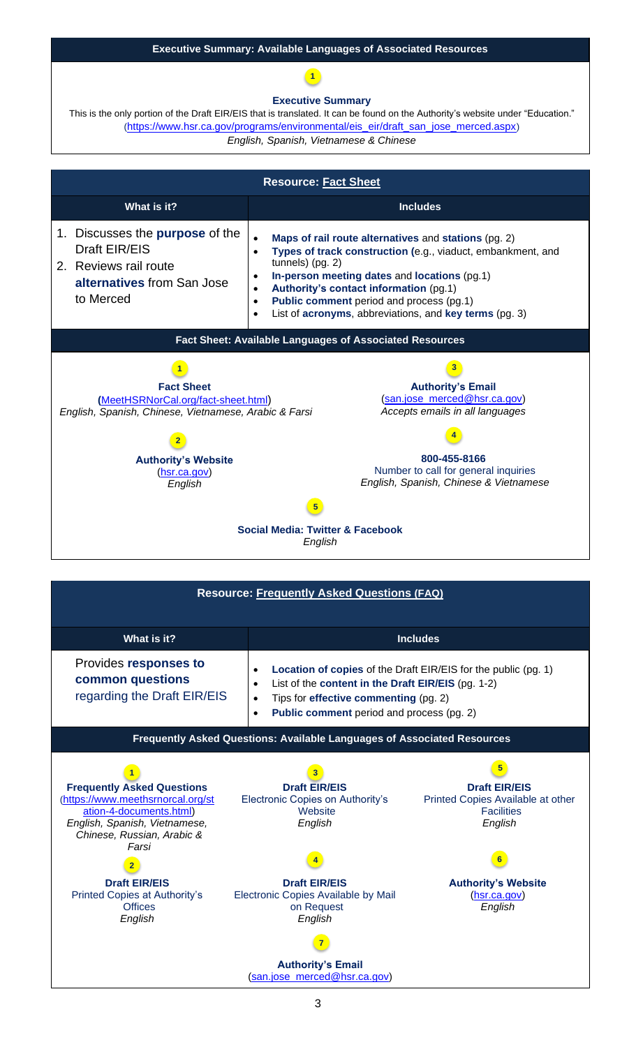#### **Executive Summary: Available Languages of Associated Resources**

### **1**

#### **[Executive Summary](https://www.hsr.ca.gov/programs/environmental/eis_eir/draft_san_jose_merced.aspx)**

This is the only portion of the Draft EIR/EIS that is translated. It can be found on the Authority's website under "Education." ([https://www.hsr.ca.gov/programs/environmental/eis\\_eir/draft\\_san\\_jose\\_merced.aspx](https://www.hsr.ca.gov/programs/environmental/eis_eir/draft_san_jose_merced.aspx)) *English, Spanish, Vietnamese & Chinese*

| <b>Resource: Fact Sheet</b>                                                                                                                                                |                                                                                                                                                                                                                                                                                                                                                                                                                       |  |  |  |
|----------------------------------------------------------------------------------------------------------------------------------------------------------------------------|-----------------------------------------------------------------------------------------------------------------------------------------------------------------------------------------------------------------------------------------------------------------------------------------------------------------------------------------------------------------------------------------------------------------------|--|--|--|
| What is it?                                                                                                                                                                | <b>Includes</b>                                                                                                                                                                                                                                                                                                                                                                                                       |  |  |  |
| 1. Discusses the <b>purpose</b> of the<br>Draft EIR/EIS<br>2. Reviews rail route<br>alternatives from San Jose<br>to Merced                                                | Maps of rail route alternatives and stations (pg. 2)<br>$\bullet$<br>Types of track construction (e.g., viaduct, embankment, and<br>$\bullet$<br>tunnels) (pg. 2)<br>In-person meeting dates and locations (pg.1)<br>$\bullet$<br>Authority's contact information (pg.1)<br>$\bullet$<br>Public comment period and process (pg.1)<br>$\bullet$<br>List of acronyms, abbreviations, and key terms (pg. 3)<br>$\bullet$ |  |  |  |
| Fact Sheet: Available Languages of Associated Resources                                                                                                                    |                                                                                                                                                                                                                                                                                                                                                                                                                       |  |  |  |
| <b>Fact Sheet</b><br>(MeetHSRNorCal.org/fact-sheet.html)<br>English, Spanish, Chinese, Vietnamese, Arabic & Farsi<br><b>Authority's Website</b><br>(hsr.ca.gov)<br>English | <b>Authority's Email</b><br>(san.jose_merced@hsr.ca.gov)<br>Accepts emails in all languages<br>800-455-8166<br>Number to call for general inquiries<br>English, Spanish, Chinese & Vietnamese                                                                                                                                                                                                                         |  |  |  |
|                                                                                                                                                                            |                                                                                                                                                                                                                                                                                                                                                                                                                       |  |  |  |
| Social Media: Twitter & Facebook<br>English                                                                                                                                |                                                                                                                                                                                                                                                                                                                                                                                                                       |  |  |  |

| <b>Resource: Frequently Asked Questions (FAQ)</b>                                                                                                                         |                                                                                                                                                                                                                                                   |                                                                                           |  |  |  |
|---------------------------------------------------------------------------------------------------------------------------------------------------------------------------|---------------------------------------------------------------------------------------------------------------------------------------------------------------------------------------------------------------------------------------------------|-------------------------------------------------------------------------------------------|--|--|--|
| What is it?                                                                                                                                                               | <b>Includes</b>                                                                                                                                                                                                                                   |                                                                                           |  |  |  |
| Provides responses to<br>common questions<br>regarding the Draft EIR/EIS                                                                                                  | Location of copies of the Draft EIR/EIS for the public (pg. 1)<br>List of the content in the Draft EIR/EIS (pg. 1-2)<br>$\bullet$<br>Tips for effective commenting (pg. 2)<br>$\bullet$<br>Public comment period and process (pg. 2)<br>$\bullet$ |                                                                                           |  |  |  |
| <b>Frequently Asked Questions: Available Languages of Associated Resources</b>                                                                                            |                                                                                                                                                                                                                                                   |                                                                                           |  |  |  |
| <b>Frequently Asked Questions</b><br>(https://www.meethsrnorcal.org/st<br>ation-4-documents.html)<br>English, Spanish, Vietnamese,<br>Chinese, Russian, Arabic &<br>Farsi | <b>Draft EIR/EIS</b><br>Electronic Copies on Authority's<br>Website<br>English                                                                                                                                                                    | <b>Draft EIR/EIS</b><br>Printed Copies Available at other<br><b>Facilities</b><br>English |  |  |  |
|                                                                                                                                                                           |                                                                                                                                                                                                                                                   | 6                                                                                         |  |  |  |
| <b>Draft EIR/EIS</b><br>Printed Copies at Authority's<br><b>Offices</b><br>English                                                                                        | <b>Draft EIR/EIS</b><br>Electronic Copies Available by Mail<br>on Request<br>English                                                                                                                                                              | <b>Authority's Website</b><br>(hsr.ca.gov)<br>English                                     |  |  |  |
| <b>Authority's Email</b><br>(san.jose_merced@hsr.ca.gov)                                                                                                                  |                                                                                                                                                                                                                                                   |                                                                                           |  |  |  |